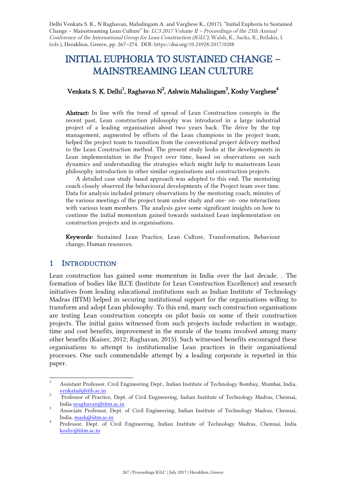Delhi Venkata S. K., N Raghavan, Mahalingam A. and Varghese K., (2017). "Initial Euphoria to Sustained Change – Mainstreaming Lean Culture" In:  $LC3$  2017 Volume II – Proceedings of the 25th Annual Conference of the International Group for Lean Construction (IGLC), Walsh, K., Sacks, R., Brilakis, I. (eds.), Heraklion, Greece, pp. 267–274. DOI: https://doi.org/10.24928/2017/0288

# INITIAL EUPHORIA TO SUSTAINED CHANGE – MAINSTREAMING LEAN CULTURE

## Venkata S. K. Delhi $^1$ , Raghavan N $^2$ , Ashwin Mahalingam $^3$ , Koshy Varghese $^4$

Abstract: In line with the trend of spread of Lean Construction concepts in the recent past, Lean construction philosophy was introduced in a large industrial project of a leading organisation about two years back. The drive by the top management, augmented by efforts of the Lean champions in the project team, helped the project team to transition from the conventional project delivery method to the Lean Construction method. The present study looks at the developments in Lean implementation in the Project over time, based on observations on such dynamics and understanding the strategies which might help to mainstream Lean philosophy introduction in other similar organisations and construction projects.

A detailed case study based approach was adopted to this end. The mentoring coach closely observed the behavioural developments of the Project team over time. Data for analysis included primary observations by the mentoring coach, minutes of the various meetings of the project team under study and one- on- one interactions with various team members. The analysis gave some significant insights on how to continue the initial momentum gained towards sustained Lean implementation on construction projects and in organisations.

Keywords: Sustained Lean Practice, Lean Culture, Transformation, Behaviour change, Human resources.

## 1 INTRODUCTION

Lean construction has gained some momentum in India over the last decade. . The formation of bodies like ILCE (Institute for Lean Construction Excellence) and research initiatives from leading educational institutions such as Indian Institute of Technology Madras (IITM) helped in securing institutional support for the organisations willing to transform and adopt Lean philosophy. To this end, many such construction organisations are testing Lean construction concepts on pilot basis on some of their construction projects. The initial gains witnessed from such projects include reduction in wastage, time and cost benefits, improvement in the morale of the teams involved among many other benefits (Kaiser, 2012; Raghavan, 2015). Such witnessed benefits encouraged these organisations to attempt to institutionalise Lean practices in their organisational processes. One such commendable attempt by a leading corporate is reported in this paper.

 <sup>1</sup> Assistant Professor, Civil Engineering Dept., Indian Institute of Technology Bombay, Mumbai, India,  $\frac{\text{venkatalog} \text{itb.ac.in}}{2}$ 

Professor of Practice, Dept. of Civil Engineering, Indian Institute of Technology Madras, Chennai, India nraghavan@iitm.ac.in<br>3 Associate Professor, Dept. of Civil Engineering, Indian Institute of Technology Madras, Chennai,

India, mash@iitm.ac.in <sup>4</sup> Professor, Dept. of Civil Engineering, Indian Institute of Technology Madras, Chennai, India

koshy@iitm.ac.in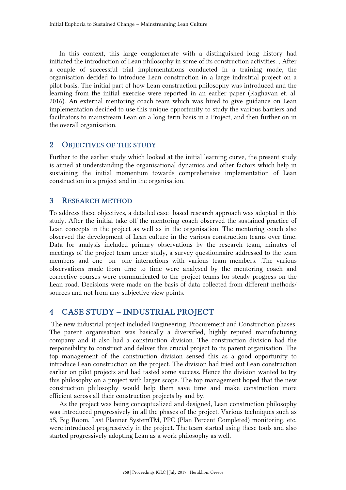In this context, this large conglomerate with a distinguished long history had initiated the introduction of Lean philosophy in some of its construction activities. , After a couple of successful trial implementations conducted in a training mode, the organisation decided to introduce Lean construction in a large industrial project on a pilot basis. The initial part of how Lean construction philosophy was introduced and the learning from the initial exercise were reported in an earlier paper (Raghavan et. al. 2016). An external mentoring coach team which was hired to give guidance on Lean implementation decided to use this unique opportunity to study the various barriers and facilitators to mainstream Lean on a long term basis in a Project, and then further on in the overall organisation.

#### 2 OBJECTIVES OF THE STUDY

Further to the earlier study which looked at the initial learning curve, the present study is aimed at understanding the organisational dynamics and other factors which help in sustaining the initial momentum towards comprehensive implementation of Lean construction in a project and in the organisation.

#### 3 RESEARCH METHOD

To address these objectives, a detailed case- based research approach was adopted in this study. After the initial take-off the mentoring coach observed the sustained practice of Lean concepts in the project as well as in the organisation. The mentoring coach also observed the development of Lean culture in the various construction teams over time. Data for analysis included primary observations by the research team, minutes of meetings of the project team under study, a survey questionnaire addressed to the team members and one- on- one interactions with various team members. .The various observations made from time to time were analysed by the mentoring coach and corrective courses were communicated to the project teams for steady progress on the Lean road. Decisions were made on the basis of data collected from different methods/ sources and not from any subjective view points.

## 4 CASE STUDY – INDUSTRIAL PROJECT

The new industrial project included Engineering, Procurement and Construction phases. The parent organisation was basically a diversified, highly reputed manufacturing company and it also had a construction division. The construction division had the responsibility to construct and deliver this crucial project to its parent organisation. The top management of the construction division sensed this as a good opportunity to introduce Lean construction on the project. The division had tried out Lean construction earlier on pilot projects and had tasted some success. Hence the division wanted to try this philosophy on a project with larger scope. The top management hoped that the new construction philosophy would help them save time and make construction more efficient across all their construction projects by and by.

As the project was being conceptualized and designed, Lean construction philosophy was introduced progressively in all the phases of the project. Various techniques such as 5S, Big Room, Last Planner SystemTM, PPC (Plan Percent Completed) monitoring, etc. were introduced progressively in the project. The team started using these tools and also started progressively adopting Lean as a work philosophy as well.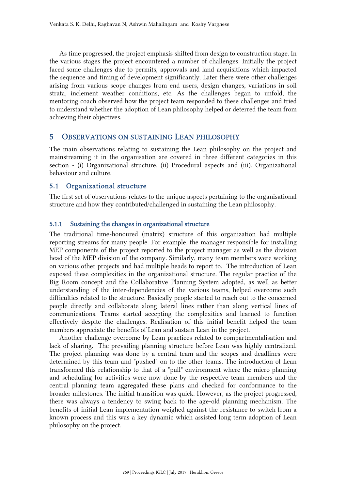As time progressed, the project emphasis shifted from design to construction stage. In the various stages the project encountered a number of challenges. Initially the project faced some challenges due to permits, approvals and land acquisitions which impacted the sequence and timing of development significantly. Later there were other challenges arising from various scope changes from end users, design changes, variations in soil strata, inclement weather conditions, etc. As the challenges began to unfold, the mentoring coach observed how the project team responded to these challenges and tried to understand whether the adoption of Lean philosophy helped or deterred the team from achieving their objectives.

### 5 OBSERVATIONS ON SUSTAINING LEAN PHILOSOPHY

The main observations relating to sustaining the Lean philosophy on the project and mainstreaming it in the organisation are covered in three different categories in this section - (i) Organizational structure, (ii) Procedural aspects and (iii). Organizational behaviour and culture.

#### 5.1 Organizational structure

The first set of observations relates to the unique aspects pertaining to the organisational structure and how they contributed/challenged in sustaining the Lean philosophy.

#### 5.1.1 Sustaining the changes in organizational structure

The traditional time-honoured (matrix) structure of this organization had multiple reporting streams for many people. For example, the manager responsible for installing MEP components of the project reported to the project manager as well as the division head of the MEP division of the company. Similarly, many team members were working on various other projects and had multiple heads to report to. The introduction of Lean exposed these complexities in the organizational structure. The regular practice of the Big Room concept and the Collaborative Planning System adopted, as well as better understanding of the inter-dependencies of the various teams, helped overcome such difficulties related to the structure. Basically people started to reach out to the concerned people directly and collaborate along lateral lines rather than along vertical lines of communications. Teams started accepting the complexities and learned to function effectively despite the challenges. Realisation of this initial benefit helped the team members appreciate the benefits of Lean and sustain Lean in the project.

Another challenge overcome by Lean practices related to compartmentalisation and lack of sharing. The prevailing planning structure before Lean was highly centralized. The project planning was done by a central team and the scopes and deadlines were determined by this team and "pushed" on to the other teams. The introduction of Lean transformed this relationship to that of a "pull" environment where the micro planning and scheduling for activities were now done by the respective team members and the central planning team aggregated these plans and checked for conformance to the broader milestones. The initial transition was quick. However, as the project progressed, there was always a tendency to swing back to the age-old planning mechanism. The benefits of initial Lean implementation weighed against the resistance to switch from a known process and this was a key dynamic which assisted long term adoption of Lean philosophy on the project.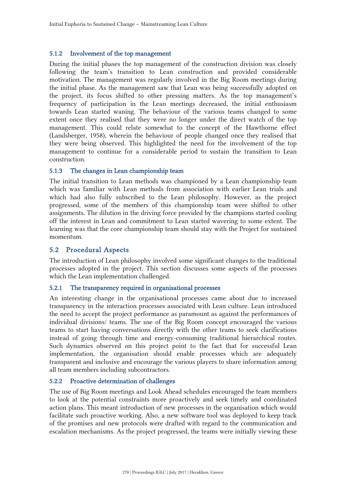#### 5.1.2 Involvement of the top management

During the initial phases the top management of the construction division was closely following the team's transition to Lean construction and provided considerable motivation. The management was regularly involved in the Big Room meetings during the initial phase. As the management saw that Lean was being successfully adopted on the project, its focus shifted to other pressing matters. As the top management's frequency of participation in the Lean meetings decreased, the initial enthusiasm towards Lean started waning. The behaviour of the various teams changed to some extent once they realised that they were no longer under the direct watch of the top management. This could relate somewhat to the concept of the Hawthorne effect (Landsberger, 1958), wherein the behaviour of people changed once they realised that they were being observed. This highlighted the need for the involvement of the top management to continue for a considerable period to sustain the transition to Lean construction.

#### 5.1.3 The changes in Lean championship team

The initial transition to Lean methods was championed by a Lean championship team which was familiar with Lean methods from association with earlier Lean trials and which had also fully subscribed to the Lean philosophy. However, as the project progressed, some of the members of this championship team were shifted to other assignments. The dilution in the driving force provided by the champions started cooling off the interest in Lean and commitment to Lean started wavering to some extent. The learning was that the core championship team should stay with the Project for sustained momentum.

#### 5.2 Procedural Aspects

The introduction of Lean philosophy involved some significant changes to the traditional processes adopted in the project. This section discusses some aspects of the processes which the Lean implementation challenged.

#### 5.2.1 The transparency required in organisational processes

An interesting change in the organisational processes came about due to increased transparency in the interaction processes associated with Lean culture. Lean introduced the need to accept the project performance as paramount as against the performances of individual divisions/ teams. The use of the Big Room concept encouraged the various teams to start having conversations directly with the other teams to seek clarifications instead of going through time and energy-consuming traditional hierarchical routes. Such dynamics observed on this project point to the fact that for successful Lean implementation, the organisation should enable processes which are adequately transparent and inclusive and encourage the various players to share information among all team members including subcontractors.

### 5.2.2 Proactive determination of challenges

The use of Big Room meetings and Look Ahead schedules encouraged the team members to look at the potential constraints more proactively and seek timely and coordinated action plans. This meant introduction of new processes in the organisation which would facilitate such proactive working. Also, a new software tool was deployed to keep track of the promises and new protocols were drafted with regard to the communication and escalation mechanisms. As the project progressed, the teams were initially viewing these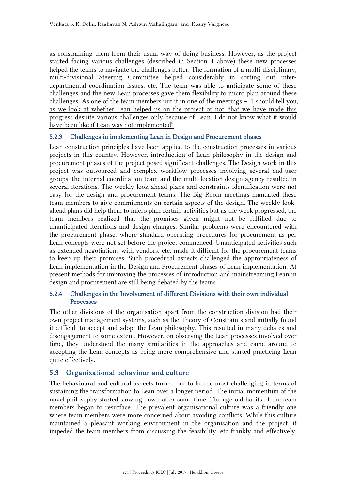as constraining them from their usual way of doing business. However, as the project started facing various challenges (described in Section 4 above) these new processes helped the teams to navigate the challenges better. The formation of a multi-disciplinary, multi-divisional Steering Committee helped considerably in sorting out interdepartmental coordination issues, etc. The team was able to anticipate some of these challenges and the new Lean processes gave them flexibility to micro plan around these challenges. As one of the team members put it in one of the meetings – "I should tell you, as we look at whether Lean helped us on the project or not, that we have made this progress despite various challenges only because of Lean. I do not know what it would have been like if Lean was not implemented"

#### 5.2.3 Challenges in implementing Lean in Design and Procurement phases

Lean construction principles have been applied to the construction processes in various projects in this country. However, introduction of Lean philosophy in the design and procurement phases of the project posed significant challenges. The Design work in this project was outsourced and complex workflow processes involving several end-user groups, the internal coordination team and the multi-location design agency resulted in several iterations. The weekly look ahead plans and constraints identification were not easy for the design and procurement teams. The Big Room meetings mandated these team members to give commitments on certain aspects of the design. The weekly lookahead plans did help them to micro plan certain activities but as the week progressed, the team members realized that the promises given might not be fulfilled due to unanticipated iterations and design changes. Similar problems were encountered with the procurement phase, where standard operating procedures for procurement as per Lean concepts were not set before the project commenced. Unanticipated activities such as extended negotiations with vendors, etc. made it difficult for the procurement teams to keep up their promises. Such procedural aspects challenged the appropriateness of Lean implementation in the Design and Procurement phases of Lean implementation. At present methods for improving the processes of introduction and mainstreaming Lean in design and procurement are still being debated by the teams.

## 5.2.4 Challenges in the Involvement of different Divisions with their own individual Processes

The other divisions of the organisation apart from the construction division had their own project management systems, such as the Theory of Constraints and initially found it difficult to accept and adopt the Lean philosophy. This resulted in many debates and disengagement to some extent. However, on observing the Lean processes involved over time, they understood the many similarities in the approaches and came around to accepting the Lean concepts as being more comprehensive and started practicing Lean quite effectively.

## 5.3 Organizational behaviour and culture

The behavioural and cultural aspects turned out to be the most challenging in terms of sustaining the transformation to Lean over a longer period. The initial momentum of the novel philosophy started slowing down after some time. The age-old habits of the team members began to resurface. The prevalent organisational culture was a friendly one where team members were more concerned about avoiding conflicts. While this culture maintained a pleasant working environment in the organisation and the project, it impeded the team members from discussing the feasibility, etc frankly and effectively.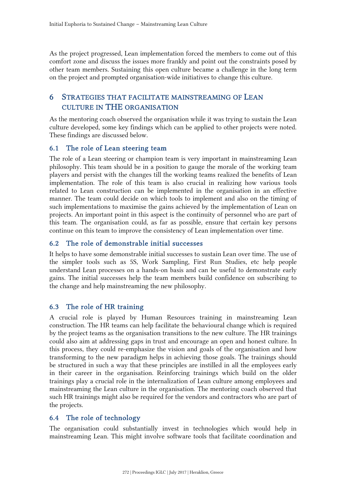As the project progressed, Lean implementation forced the members to come out of this comfort zone and discuss the issues more frankly and point out the constraints posed by other team members. Sustaining this open culture became a challenge in the long term on the project and prompted organisation-wide initiatives to change this culture.

## 6 STRATEGIES THAT FACILITATE MAINSTREAMING OF LEAN CULTURE IN THE ORGANISATION

As the mentoring coach observed the organisation while it was trying to sustain the Lean culture developed, some key findings which can be applied to other projects were noted. These findings are discussed below.

## 6.1 The role of Lean steering team

The role of a Lean steering or champion team is very important in mainstreaming Lean philosophy. This team should be in a position to gauge the morale of the working team players and persist with the changes till the working teams realized the benefits of Lean implementation. The role of this team is also crucial in realizing how various tools related to Lean construction can be implemented in the organisation in an effective manner. The team could decide on which tools to implement and also on the timing of such implementations to maximise the gains achieved by the implementation of Lean on projects. An important point in this aspect is the continuity of personnel who are part of this team. The organisation could, as far as possible, ensure that certain key persons continue on this team to improve the consistency of Lean implementation over time.

## 6.2 The role of demonstrable initial successes

It helps to have some demonstrable initial successes to sustain Lean over time. The use of the simpler tools such as 5S, Work Sampling, First Run Studies, etc help people understand Lean processes on a hands-on basis and can be useful to demonstrate early gains. The initial successes help the team members build confidence on subscribing to the change and help mainstreaming the new philosophy.

## 6.3 The role of HR training

A crucial role is played by Human Resources training in mainstreaming Lean construction. The HR teams can help facilitate the behavioural change which is required by the project teams as the organisation transitions to the new culture. The HR trainings could also aim at addressing gaps in trust and encourage an open and honest culture. In this process, they could re-emphasize the vision and goals of the organisation and how transforming to the new paradigm helps in achieving those goals. The trainings should be structured in such a way that these principles are instilled in all the employees early in their career in the organisation. Reinforcing trainings which build on the older trainings play a crucial role in the internalization of Lean culture among employees and mainstreaming the Lean culture in the organisation. The mentoring coach observed that such HR trainings might also be required for the vendors and contractors who are part of the projects.

## 6.4 The role of technology

The organisation could substantially invest in technologies which would help in mainstreaming Lean. This might involve software tools that facilitate coordination and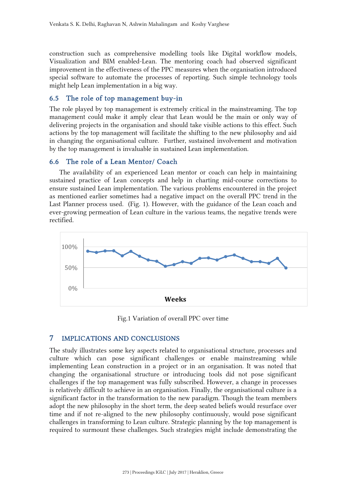construction such as comprehensive modelling tools like Digital workflow models, Visualization and BIM enabled-Lean. The mentoring coach had observed significant improvement in the effectiveness of the PPC measures when the organisation introduced special software to automate the processes of reporting. Such simple technology tools might help Lean implementation in a big way.

## 6.5 The role of top management buy-in

The role played by top management is extremely critical in the mainstreaming. The top management could make it amply clear that Lean would be the main or only way of delivering projects in the organisation and should take visible actions to this effect. Such actions by the top management will facilitate the shifting to the new philosophy and aid in changing the organisational culture. Further, sustained involvement and motivation by the top management is invaluable in sustained Lean implementation.

#### 6.6 The role of a Lean Mentor/ Coach

The availability of an experienced Lean mentor or coach can help in maintaining sustained practice of Lean concepts and help in charting mid-course corrections to ensure sustained Lean implementation. The various problems encountered in the project as mentioned earlier sometimes had a negative impact on the overall PPC trend in the Last Planner process used. (Fig. 1). However, with the guidance of the Lean coach and ever-growing permeation of Lean culture in the various teams, the negative trends were rectified.



Fig.1 Variation of overall PPC over time

#### 7 IMPLICATIONS AND CONCLUSIONS

The study illustrates some key aspects related to organisational structure, processes and culture which can pose significant challenges or enable mainstreaming while implementing Lean construction in a project or in an organisation. It was noted that changing the organisational structure or introducing tools did not pose significant challenges if the top management was fully subscribed. However, a change in processes is relatively difficult to achieve in an organisation. Finally, the organisational culture is a significant factor in the transformation to the new paradigm. Though the team members adopt the new philosophy in the short term, the deep seated beliefs would resurface over time and if not re-aligned to the new philosophy continuously, would pose significant challenges in transforming to Lean culture. Strategic planning by the top management is required to surmount these challenges. Such strategies might include demonstrating the